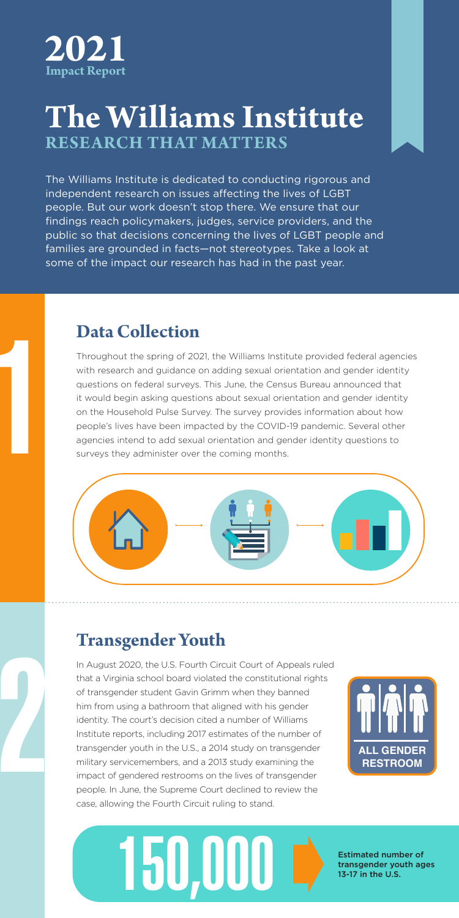

### The Williams Institute **The Williams Institute RESEARCH THAT MATTERS**

The Williams Institute is dedicated to conducting rigorous and **interpact and** The williams institute is dedicated to conducting rigorods and williams institute is dedicated to conducting rigorods and .<br>people. But our work doesn't stop there. We ensure that our findings reach policymakers, judges, service providers, and the metal control public so that decisions concerning the lives of LGBT people and families are grounded in facts—not stereotypes. Take a look at some of the impact our research has had in the past year.

The Williams Institute produces research with real-world relevance.

#### **Data Collection**

Throughout the spring of 2021, the Williams Institute provided federal agencies with research and guidance on adding sexual orientation and gender identity questions on federal surveys. This June, the Census Bureau announced that it would begin asking questions about sexual orientation and gender identity on the Household Pulse Survey. The survey provides information about how people's lives have been impacted by the COVID-19 pandemic. Several other agencies intend to add sexual orientation and gender identity questions to surveys they administer over the coming months.



## **Transgender Youth**

2

1

In August 2020, the U.S. Fourth Circuit Court of Appeals ruled that a Virginia school board violated the constitutional rights of transgender student Gavin Grimm when they banned him from using a bathroom that aligned with his gender identity. The court's decision cited a number of Williams Institute reports, including 2017 estimates of the number of transgender youth in the U.S., a 2014 study on transgender military servicemembers, and a 2013 study examining the impact of gendered restrooms on the lives of transgender people. In June, the Supreme Court declined to review the case, allowing the Fourth Circuit ruling to stand.





transgender youth ages 13-17 in the U.S.